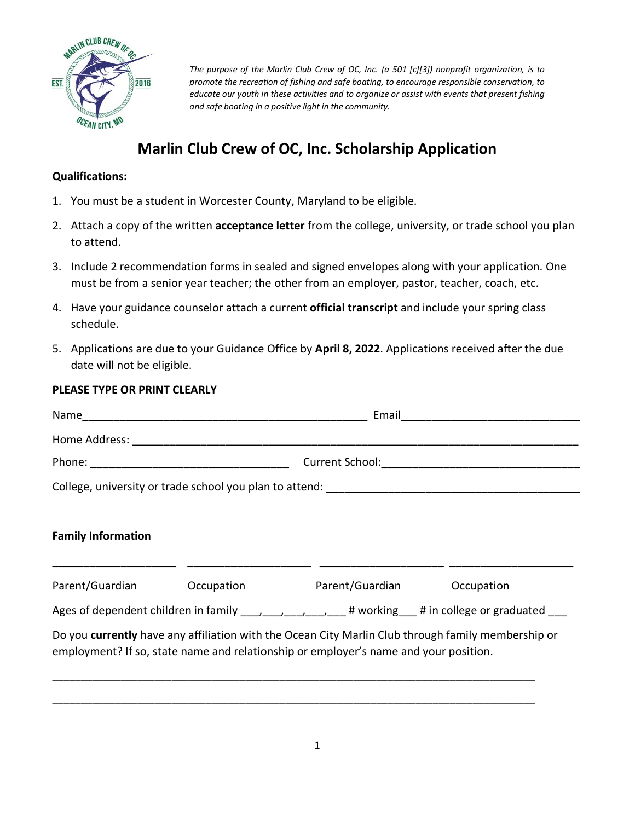

*The purpose of the Marlin Club Crew of OC, Inc. (a 501 [c][3]) nonprofit organization, is to promote the recreation of fishing and safe boating, to encourage responsible conservation, to educate our youth in these activities and to organize or assist with events that present fishing and safe boating in a positive light in the community.* 

# **Marlin Club Crew of OC, Inc. Scholarship Application**

## **Qualifications:**

- 1. You must be a student in Worcester County, Maryland to be eligible.
- 2. Attach a copy of the written **acceptance letter** from the college, university, or trade school you plan to attend.
- 3. Include 2 recommendation forms in sealed and signed envelopes along with your application. One must be from a senior year teacher; the other from an employer, pastor, teacher, coach, etc.
- 4. Have your guidance counselor attach a current **official transcript** and include your spring class schedule.
- 5. Applications are due to your Guidance Office by **April 8, 2022**. Applications received after the due date will not be eligible.

## **PLEASE TYPE OR PRINT CLEARLY**

| Name                                                                              | Email<br><u> 1980 - Jan Barbarat, manala</u> tar a shekara 1980 a tsa |  |  |  |  |
|-----------------------------------------------------------------------------------|-----------------------------------------------------------------------|--|--|--|--|
|                                                                                   |                                                                       |  |  |  |  |
|                                                                                   | Current School: <u>____________________________</u>                   |  |  |  |  |
| College, university or trade school you plan to attend: _________________________ |                                                                       |  |  |  |  |
|                                                                                   |                                                                       |  |  |  |  |

# **Family Information**

| Parent/Guardian                          | Occupation | Parent/Guardian                                                                                                                                                                            | Occupation                          |
|------------------------------------------|------------|--------------------------------------------------------------------------------------------------------------------------------------------------------------------------------------------|-------------------------------------|
| Ages of dependent children in family (a) |            |                                                                                                                                                                                            | # working # in college or graduated |
|                                          |            | Do you currently have any affiliation with the Ocean City Marlin Club through family membership or<br>employment? If so, state name and relationship or employer's name and your position. |                                     |

\_\_\_\_\_\_\_\_\_\_\_\_\_\_\_\_\_\_\_\_\_\_\_\_\_\_\_\_\_\_\_\_\_\_\_\_\_\_\_\_\_\_\_\_\_\_\_\_\_\_\_\_\_\_\_\_\_\_\_\_\_\_\_\_\_\_\_\_\_\_\_\_\_\_\_\_\_\_\_\_\_\_\_\_\_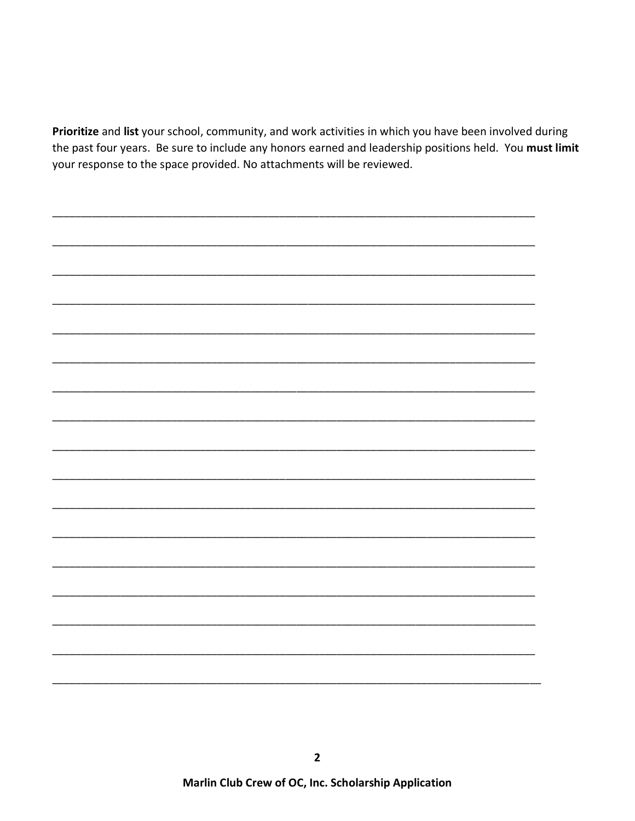Prioritize and list your school, community, and work activities in which you have been involved during the past four years. Be sure to include any honors earned and leadership positions held. You must limit your response to the space provided. No attachments will be reviewed.

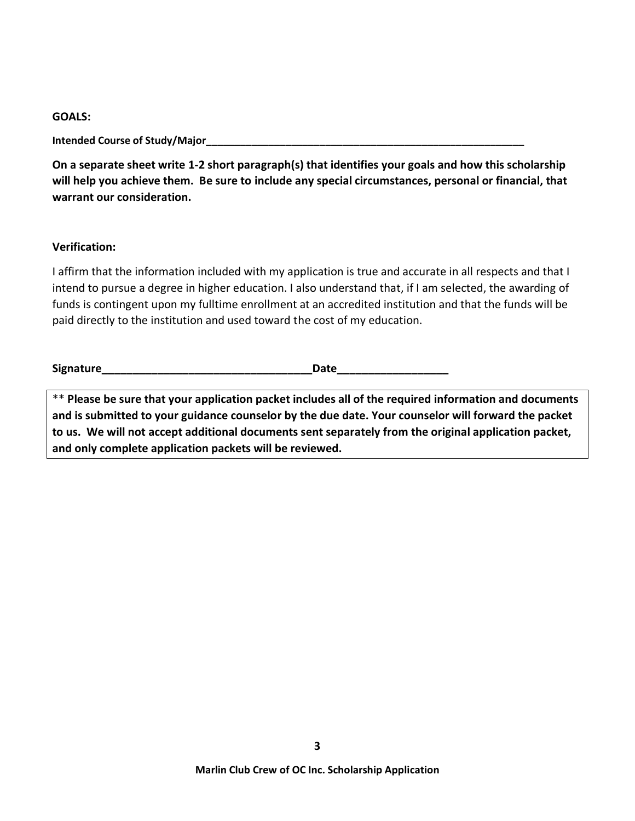#### **GOALS:**

**Intended Course of Study/Major\_\_\_\_\_\_\_\_\_\_\_\_\_\_\_\_\_\_\_\_\_\_\_\_\_\_\_\_\_\_\_\_\_\_\_\_\_\_\_\_\_\_\_\_\_\_\_\_\_\_\_\_\_\_\_\_**

**On a separate sheet write 1-2 short paragraph(s) that identifies your goals and how this scholarship will help you achieve them. Be sure to include any special circumstances, personal or financial, that warrant our consideration.**

## **Verification:**

I affirm that the information included with my application is true and accurate in all respects and that I intend to pursue a degree in higher education. I also understand that, if I am selected, the awarding of funds is contingent upon my fulltime enrollment at an accredited institution and that the funds will be paid directly to the institution and used toward the cost of my education.

| <b>Signature</b> |  |
|------------------|--|
|------------------|--|

\*\* **Please be sure that your application packet includes all of the required information and documents and is submitted to your guidance counselor by the due date. Your counselor will forward the packet to us. We will not accept additional documents sent separately from the original application packet, and only complete application packets will be reviewed.**